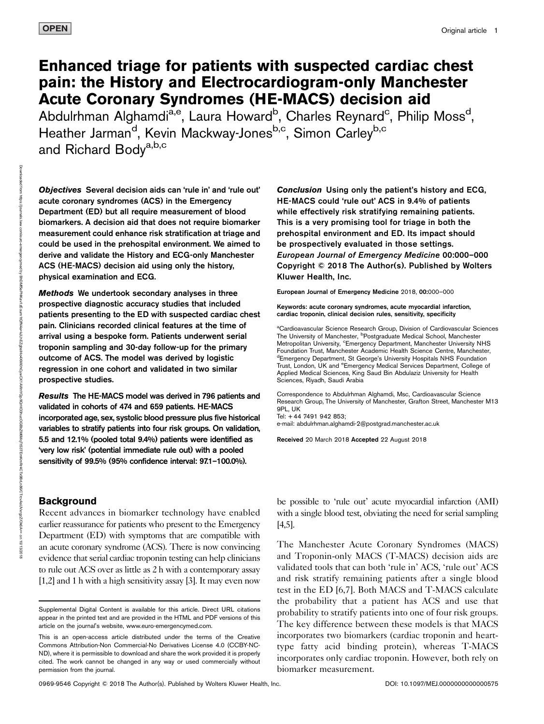# Enhanced triage for patients with suspected cardiac chest pain: the History and Electrocardiogram-only Manchester Acute Coronary Syndromes (HE-MACS) decision aid

Abdulrhman Alghamdi<sup>a,e</sup>, Laura Howard<sup>b</sup>, Charles Reynard<sup>c</sup>, Philip Moss<sup>d</sup>, Heather Jarman<sup>d</sup>, Kevin Mackway-Jones<sup>b,c</sup>, Simon Carley<sup>b,c</sup> and Richard Body<sup>a,b,c</sup>

Downloaded from upon under what is a real https://journals.lww.com/euro-emergencymed ৼ BhDMf5ePHKav1zEoum1tQfN4a+kJLhEZgbsIHo4XMi0hCywCX1AWnYQp/IlQrHD3hucOGBbZM6MqTtS3TEmKmRr4CTx9BrLn86/CTrcvAsUVxrgzZ/Ok6A== on 10/13/2018

Objectives Several decision aids can 'rule in' and 'rule out' acute coronary syndromes (ACS) in the Emergency Department (ED) but all require measurement of blood biomarkers. A decision aid that does not require biomarker measurement could enhance risk stratification at triage and could be used in the prehospital environment. We aimed to derive and validate the History and ECG-only Manchester ACS (HE-MACS) decision aid using only the history, physical examination and ECG.

Methods We undertook secondary analyses in three prospective diagnostic accuracy studies that included patients presenting to the ED with suspected cardiac chest pain. Clinicians recorded clinical features at the time of arrival using a bespoke form. Patients underwent serial troponin sampling and 30-day follow-up for the primary outcome of ACS. The model was derived by logistic regression in one cohort and validated in two similar prospective studies.

Results The HE-MACS model was derived in 796 patients and validated in cohorts of 474 and 659 patients. HE-MACS incorporated age, sex, systolic blood pressure plus five historical variables to stratify patients into four risk groups. On validation, 5.5 and 12.1% (pooled total 9.4%) patients were identified as 'very low risk' (potential immediate rule out) with a pooled sensitivity of 99.5% (95% confidence interval: 97.1–100.0%).

## Background

Recent advances in biomarker technology have enabled earlier reassurance for patients who present to the Emergency Department (ED) with symptoms that are compatible with an acute coronary syndrome (ACS). There is now convincing evidence that serial cardiac troponin testing can help clinicians to rule out ACS over as little as 2 h with a contemporary assay [1,2] and 1 h with a high sensitivity assay [3]. It may even now

Conclusion Using only the patient's history and ECG, HE-MACS could 'rule out' ACS in 9.4% of patients while effectively risk stratifying remaining patients. This is a very promising tool for triage in both the prehospital environment and ED. Its impact should be prospectively evaluated in those settings. European Journal of Emergency Medicine 00:000–000 Copyright © 2018 The Author(s). Published by Wolters Kluwer Health, Inc.

European Journal of Emergency Medicine 2018, 00:000–000

Keywords: acute coronary syndromes, acute myocardial infarction, cardiac troponin, clinical decision rules, sensitivity, specificity

aCardioavascular Science Research Group, Division of Cardiovascular Sciences The University of Manchester, <sup>b</sup>Postgraduate Medical School, Manchester Metropolitan University, <sup>c</sup>Emergency Department, Manchester University NHS Foundation Trust, Manchester Academic Health Science Centre, Manchester, d Emergency Department, St George's University Hospitals NHS Foundation Trust, London, UK and <sup>e</sup>Emergency Medical Services Department, College of Applied Medical Sciences, King Saud Bin Abdulaziz University for Health Sciences, Riyadh, Saudi Arabia

Correspondence to Abdulrhman Alghamdi, Msc, Cardioavascular Science Research Group, The University of Manchester, Grafton Street, Manchester M13 9PL, UK Tel: + 44 7491 942 853;

e-mail: [abdulrhman.alghamdi-2@postgrad.manchester.ac.uk](mailto:abdulrhman.alghamdi-2@postgrad.manchester.ac.uk)

Received 20 March 2018 Accepted 22 August 2018

be possible to 'rule out' acute myocardial infarction (AMI) with a single blood test, obviating the need for serial sampling [4,5].

The Manchester Acute Coronary Syndromes (MACS) and Troponin-only MACS (T-MACS) decision aids are validated tools that can both 'rule in' ACS, 'rule out' ACS and risk stratify remaining patients after a single blood test in the ED [6,7]. Both MACS and T-MACS calculate the probability that a patient has ACS and use that probability to stratify patients into one of four risk groups. The key difference between these models is that MACS incorporates two biomarkers (cardiac troponin and hearttype fatty acid binding protein), whereas T-MACS incorporates only cardiac troponin. However, both rely on biomarker measurement.

Supplemental Digital Content is available for this article. Direct URL citations appear in the printed text and are provided in the HTML and PDF versions of this article on the journal's website, [www.euro-emergencymed.com.](http://www.euro-emergencymed.com)

This is an open-access article distributed under the terms of the [Creative](http://creativecommons.org/licenses/by-nc-nd/4.0/) [Commons Attribution-Non Commercial-No Derivatives License 4.0](http://creativecommons.org/licenses/by-nc-nd/4.0/) (CCBY-NC-ND), where it is permissible to download and share the work provided it is properly cited. The work cannot be changed in any way or used commercially without permission from the journal.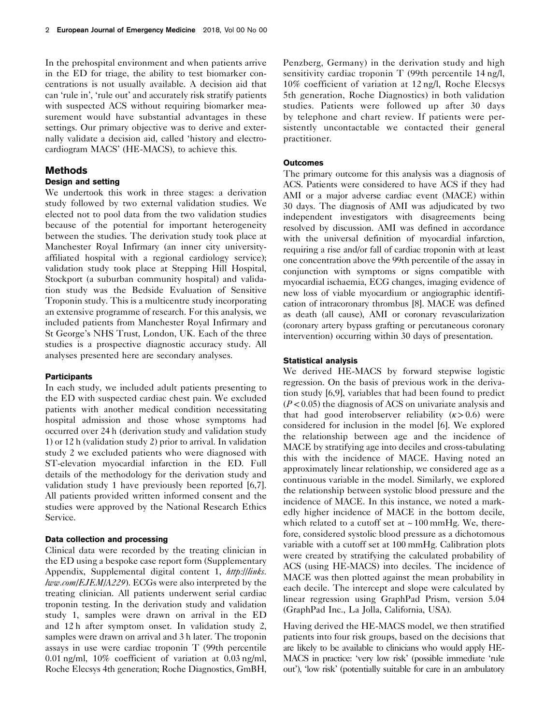In the prehospital environment and when patients arrive in the ED for triage, the ability to test biomarker concentrations is not usually available. A decision aid that can 'rule in', 'rule out' and accurately risk stratify patients with suspected ACS without requiring biomarker measurement would have substantial advantages in these settings. Our primary objective was to derive and externally validate a decision aid, called 'history and electrocardiogram MACS' (HE-MACS), to achieve this.

## Methods

## Design and setting

We undertook this work in three stages: a derivation study followed by two external validation studies. We elected not to pool data from the two validation studies because of the potential for important heterogeneity between the studies. The derivation study took place at Manchester Royal Infirmary (an inner city universityaffiliated hospital with a regional cardiology service); validation study took place at Stepping Hill Hospital, Stockport (a suburban community hospital) and validation study was the Bedside Evaluation of Sensitive Troponin study. This is a multicentre study incorporating an extensive programme of research. For this analysis, we included patients from Manchester Royal Infirmary and St George's NHS Trust, London, UK. Each of the three studies is a prospective diagnostic accuracy study. All analyses presented here are secondary analyses.

## **Participants**

In each study, we included adult patients presenting to the ED with suspected cardiac chest pain. We excluded patients with another medical condition necessitating hospital admission and those whose symptoms had occurred over 24 h (derivation study and validation study 1) or 12 h (validation study 2) prior to arrival. In validation study 2 we excluded patients who were diagnosed with ST-elevation myocardial infarction in the ED. Full details of the methodology for the derivation study and validation study 1 have previously been reported [6,7]. All patients provided written informed consent and the studies were approved by the National Research Ethics Service.

## Data collection and processing

Clinical data were recorded by the treating clinician in the ED using a bespoke case report form (Supplementary Appendix, Supplemental digital content 1, [http://links.](http://links.lww.com/EJEM/A229) [lww.com/EJEM/A229](http://links.lww.com/EJEM/A229)). ECGs were also interpreted by the treating clinician. All patients underwent serial cardiac troponin testing. In the derivation study and validation study 1, samples were drawn on arrival in the ED and 12 h after symptom onset. In validation study 2, samples were drawn on arrival and 3 h later. The troponin assays in use were cardiac troponin T (99th percentile 0.01 ng/ml, 10% coefficient of variation at 0.03 ng/ml, Roche Elecsys 4th generation; Roche Diagnostics, GmBH, Penzberg, Germany) in the derivation study and high sensitivity cardiac troponin T (99th percentile 14 ng/l, 10% coefficient of variation at 12 ng/l, Roche Elecsys 5th generation, Roche Diagnostics) in both validation studies. Patients were followed up after 30 days by telephone and chart review. If patients were persistently uncontactable we contacted their general practitioner.

## **Outcomes**

The primary outcome for this analysis was a diagnosis of ACS. Patients were considered to have ACS if they had AMI or a major adverse cardiac event (MACE) within 30 days. The diagnosis of AMI was adjudicated by two independent investigators with disagreements being resolved by discussion. AMI was defined in accordance with the universal definition of myocardial infarction, requiring a rise and/or fall of cardiac troponin with at least one concentration above the 99th percentile of the assay in conjunction with symptoms or signs compatible with myocardial ischaemia, ECG changes, imaging evidence of new loss of viable myocardium or angiographic identification of intracoronary thrombus [8]. MACE was defined as death (all cause), AMI or coronary revascularization (coronary artery bypass grafting or percutaneous coronary intervention) occurring within 30 days of presentation.

#### Statistical analysis

We derived HE-MACS by forward stepwise logistic regression. On the basis of previous work in the derivation study [6,9], variables that had been found to predict  $(P<0.05)$  the diagnosis of ACS on univariate analysis and that had good interobserver reliability  $(\kappa > 0.6)$  were considered for inclusion in the model [6]. We explored the relationship between age and the incidence of MACE by stratifying age into deciles and cross-tabulating this with the incidence of MACE. Having noted an approximately linear relationship, we considered age as a continuous variable in the model. Similarly, we explored the relationship between systolic blood pressure and the incidence of MACE. In this instance, we noted a markedly higher incidence of MACE in the bottom decile, which related to a cutoff set at  $\sim 100 \text{ mmHg}$ . We, therefore, considered systolic blood pressure as a dichotomous variable with a cutoff set at 100 mmHg. Calibration plots were created by stratifying the calculated probability of ACS (using HE-MACS) into deciles. The incidence of MACE was then plotted against the mean probability in each decile. The intercept and slope were calculated by linear regression using GraphPad Prism, version 5.04 (GraphPad Inc., La Jolla, California, USA).

Having derived the HE-MACS model, we then stratified patients into four risk groups, based on the decisions that are likely to be available to clinicians who would apply HE-MACS in practice: 'very low risk' (possible immediate 'rule out'), 'low risk' (potentially suitable for care in an ambulatory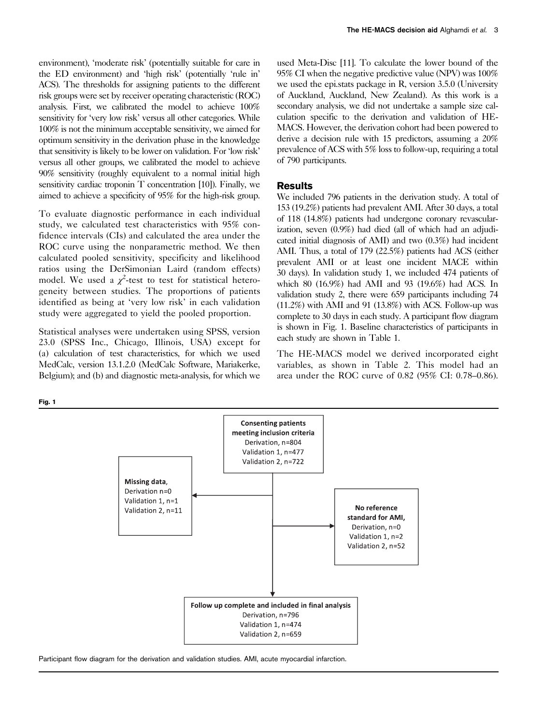environment), 'moderate risk' (potentially suitable for care in the ED environment) and 'high risk' (potentially 'rule in' ACS). The thresholds for assigning patients to the different risk groups were set by receiver operating characteristic (ROC) analysis. First, we calibrated the model to achieve 100% sensitivity for 'very low risk' versus all other categories. While 100% is not the minimum acceptable sensitivity, we aimed for optimum sensitivity in the derivation phase in the knowledge that sensitivity is likely to be lower on validation. For 'low risk' versus all other groups, we calibrated the model to achieve 90% sensitivity (roughly equivalent to a normal initial high sensitivity cardiac troponin T concentration [10]). Finally, we aimed to achieve a specificity of 95% for the high-risk group.

To evaluate diagnostic performance in each individual study, we calculated test characteristics with 95% confidence intervals (CIs) and calculated the area under the ROC curve using the nonparametric method. We then calculated pooled sensitivity, specificity and likelihood ratios using the DerSimonian Laird (random effects) model. We used a  $\chi^2$ -test to test for statistical heterogeneity between studies. The proportions of patients identified as being at 'very low risk' in each validation study were aggregated to yield the pooled proportion.

Statistical analyses were undertaken using SPSS, version 23.0 (SPSS Inc., Chicago, Illinois, USA) except for (a) calculation of test characteristics, for which we used MedCalc, version 13.1.2.0 (MedCalc Software, Mariakerke, Belgium); and (b) and diagnostic meta-analysis, for which we used Meta-Disc [11]. To calculate the lower bound of the 95% CI when the negative predictive value (NPV) was 100% we used the epi.stats package in R, version 3.5.0 (University of Auckland, Auckland, New Zealand). As this work is a secondary analysis, we did not undertake a sample size calculation specific to the derivation and validation of HE-MACS. However, the derivation cohort had been powered to derive a decision rule with 15 predictors, assuming a 20% prevalence of ACS with 5% loss to follow-up, requiring a total of 790 participants.

## **Results**

We included 796 patients in the derivation study. A total of 153 (19.2%) patients had prevalent AMI. After 30 days, a total of 118 (14.8%) patients had undergone coronary revascularization, seven (0.9%) had died (all of which had an adjudicated initial diagnosis of AMI) and two (0.3%) had incident AMI. Thus, a total of 179 (22.5%) patients had ACS (either prevalent AMI or at least one incident MACE within 30 days). In validation study 1, we included 474 patients of which 80 (16.9%) had AMI and 93 (19.6%) had ACS. In validation study 2, there were 659 participants including 74 (11.2%) with AMI and 91 (13.8%) with ACS. Follow-up was complete to 30 days in each study. A participant flow diagram is shown in Fig. 1. Baseline characteristics of participants in each study are shown in Table 1.

The HE-MACS model we derived incorporated eight variables, as shown in Table 2. This model had an area under the ROC curve of 0.82 (95% CI: 0.78–0.86).

Fig. 1



Participant flow diagram for the derivation and validation studies. AMI, acute myocardial infarction.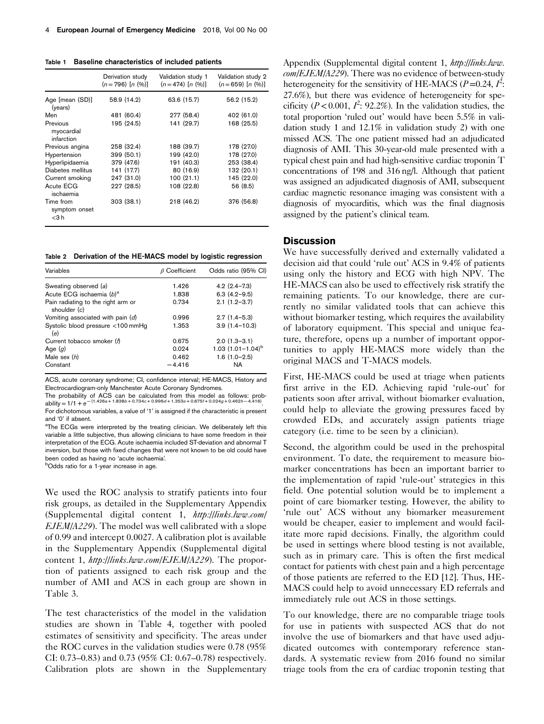Table 1 Baseline characteristics of included patients

|                                         | Derivation study<br>$(n=796)$ $[n (%)]$ | Validation study 1<br>$(n=474)$ $[n (%)]$ | Validation study 2<br>$(n=659)$ $[n (%)]$ |
|-----------------------------------------|-----------------------------------------|-------------------------------------------|-------------------------------------------|
| Age [mean (SD)]<br>(years)              | 58.9 (14.2)                             | 63.6 (15.7)                               | 56.2 (15.2)                               |
| Men                                     | 481 (60.4)                              | 277 (58.4)                                | 402 (61.0)                                |
| Previous<br>myocardial<br>infarction    | 195 (24.5)                              | 141 (29.7)                                | 168 (25.5)                                |
| Previous angina                         | 258 (32.4)                              | 188 (39.7)                                | 178 (27.0)                                |
| Hypertension                            | 399 (50.1)                              | 199 (42.0)                                | 178 (27.0)                                |
| Hyperlipidaemia                         | 379 (47.6)                              | 191 (40.3)                                | 253 (38.4)                                |
| Diabetes mellitus                       | 141 (17.7)                              | 80 (16.9)                                 | 132 (20.1)                                |
| Current smoking                         | 247 (31.0)                              | 100(21.1)                                 | 145 (22.0)                                |
| Acute ECG<br>ischaemia                  | 227 (28.5)                              | 108 (22.8)                                | 56 (8.5)                                  |
| Time from<br>symptom onset<br>$<$ 3 $h$ | 303(38.1)                               | 218 (46.2)                                | 376 (56.8)                                |

Table 2 Derivation of the HE-MACS model by logistic regression

| Variables                                          | $\beta$ Coefficient | Odds ratio (95% CI)    |
|----------------------------------------------------|---------------------|------------------------|
| Sweating observed (a)                              | 1.426               | $4.2(2.4 - 7.3)$       |
| Acute ECG ischaemia (b) <sup>a</sup>               | 1.838               | $6.3(4.2 - 9.5)$       |
| Pain radiating to the right arm or<br>shoulder (c) | 0.734               | $2.1(1.2 - 3.7)$       |
| Vomiting associated with pain (d)                  | 0.996               | $2.7(1.4-5.3)$         |
| Systolic blood pressure <100 mmHq<br>(e)           | 1.353               | $3.9(1.4 - 10.3)$      |
| Current tobacco smoker (f)                         | 0.675               | $2.0(1.3-3.1)$         |
| Age $(q)$                                          | 0.024               | 1.03 $(1.01 - 1.04)^b$ |
| Male sex $(h)$                                     | 0.462               | $1.6(1.0-2.5)$         |
| Constant                                           | $-4.416$            | NA                     |

ACS, acute coronary syndrome; CI, confidence interval; HE-MACS, History and Electrocardiogram-only Manchester Acute Coronary Syndromes.

The probability of ACS can be calculated from this model as follows: prob-Electrocardiogram-only Manchester Acute Coronary Syndromes.<br>The probability of ACS can be calculated from this model as follows: probability =  $1/1 + e^{- (1.426a + 1.838b + 0.734c + 0.996d + 1.353e + 0.675f + 0.024g + 0.462h - 4.416)}$ 

For dichotomous variables, a value of '1' is assigned if the characteristic is present and '0' if absent.

<sup>a</sup>The ECGs were interpreted by the treating clinician. We deliberately left this variable a little subjective, thus allowing clinicians to have some freedom in their interpretation of the ECG. Acute ischaemia included ST-deviation and abnormal T inversion, but those with fixed changes that were not known to be old could have been coded as having no 'acute ischaemia'.

**bOdds** ratio for a 1-year increase in age.

We used the ROC analysis to stratify patients into four risk groups, as detailed in the Supplementary Appendix (Supplemental digital content 1, [http://links.lww.com/](http://links.lww.com/EJEM/A229) [EJEM/A229](http://links.lww.com/EJEM/A229)). The model was well calibrated with a slope of 0.99 and intercept 0.0027. A calibration plot is available in the Supplementary Appendix (Supplemental digital content 1, <http://links.lww.com/EJEM/A229>). The proportion of patients assigned to each risk group and the number of AMI and ACS in each group are shown in Table 3.

The test characteristics of the model in the validation studies are shown in Table 4, together with pooled estimates of sensitivity and specificity. The areas under the ROC curves in the validation studies were 0.78 (95% CI: 0.73–0.83) and 0.73 (95% CI: 0.67–0.78) respectively. Calibration plots are shown in the Supplementary Appendix (Supplemental digital content 1, [http://links.lww.](http://links.lww.com/EJEM/A229) [com/EJEM/A229](http://links.lww.com/EJEM/A229)). There was no evidence of between-study heterogeneity for the sensitivity of HE-MACS ( $P=0.24$ ,  $I^2$ : 27.6%), but there was evidence of heterogeneity for specificity ( $P < 0.001$ ,  $I^2$ : 92.2%). In the validation studies, the total proportion 'ruled out' would have been 5.5% in validation study 1 and 12.1% in validation study 2) with one missed ACS. The one patient missed had an adjudicated diagnosis of AMI. This 30-year-old male presented with a typical chest pain and had high-sensitive cardiac troponin T concentrations of 198 and 316 ng/l. Although that patient was assigned an adjudicated diagnosis of AMI, subsequent cardiac magnetic resonance imaging was consistent with a diagnosis of myocarditis, which was the final diagnosis assigned by the patient's clinical team.

## **Discussion**

We have successfully derived and externally validated a decision aid that could 'rule out' ACS in 9.4% of patients using only the history and ECG with high NPV. The HE-MACS can also be used to effectively risk stratify the remaining patients. To our knowledge, there are currently no similar validated tools that can achieve this without biomarker testing, which requires the availability of laboratory equipment. This special and unique feature, therefore, opens up a number of important opportunities to apply HE-MACS more widely than the original MACS and T-MACS models.

First, HE-MACS could be used at triage when patients first arrive in the ED. Achieving rapid 'rule-out' for patients soon after arrival, without biomarker evaluation, could help to alleviate the growing pressures faced by crowded EDs, and accurately assign patients triage category (i.e. time to be seen by a clinician).

Second, the algorithm could be used in the prehospital environment. To date, the requirement to measure biomarker concentrations has been an important barrier to the implementation of rapid 'rule-out' strategies in this field. One potential solution would be to implement a point of care biomarker testing. However, the ability to 'rule out' ACS without any biomarker measurement would be cheaper, easier to implement and would facilitate more rapid decisions. Finally, the algorithm could be used in settings where blood testing is not available, such as in primary care. This is often the first medical contact for patients with chest pain and a high percentage of those patients are referred to the ED [12]. Thus, HE-MACS could help to avoid unnecessary ED referrals and immediately rule out ACS in those settings.

To our knowledge, there are no comparable triage tools for use in patients with suspected ACS that do not involve the use of biomarkers and that have used adjudicated outcomes with contemporary reference standards. A systematic review from 2016 found no similar triage tools from the era of cardiac troponin testing that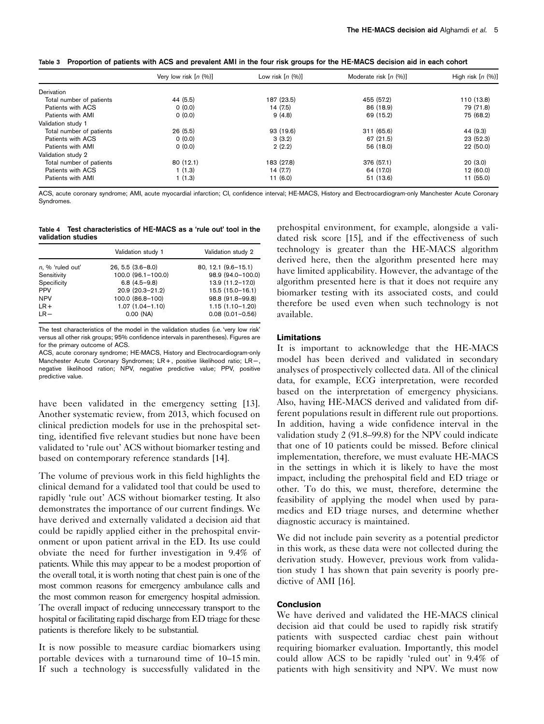Table 3 Proportion of patients with ACS and prevalent AMI in the four risk groups for the HE-MACS decision aid in each cohort

|                          | Very low risk $[n (%)]$ | Low risk $[n (%)]$ | Moderate risk $[n (%)]$ | High risk $[n (%)]$ |
|--------------------------|-------------------------|--------------------|-------------------------|---------------------|
| Derivation               |                         |                    |                         |                     |
| Total number of patients | 44 (5.5)                | 187 (23.5)         | 455 (57.2)              | 110 (13.8)          |
| Patients with ACS        | 0(0.0)                  | 14 (7.5)           | 86 (18.9)               | 79 (71.8)           |
| Patients with AMI        | 0(0.0)                  | 9(4.8)             | 69 (15.2)               | 75 (68.2)           |
| Validation study 1       |                         |                    |                         |                     |
| Total number of patients | 26(5.5)                 | 93 (19.6)          | 311(65.6)               | 44 (9.3)            |
| Patients with ACS        | 0(0.0)                  | 3(3.2)             | 67(21.5)                | 23(52.3)            |
| Patients with AMI        | 0(0.0)                  | 2(2.2)             | 56 (18.0)               | 22(50.0)            |
| Validation study 2       |                         |                    |                         |                     |
| Total number of patients | 80(12.1)                | 183 (27.8)         | 376 (57.1)              | 20(3.0)             |
| Patients with ACS        | 1(1.3)                  | 14(7.7)            | 64 (17.0)               | 12 (60.0)           |
| Patients with AMI        | 1(1.3)                  | 11(6.0)            | 51 (13.6)               | 11 (55.0)           |

ACS, acute coronary syndrome; AMI, acute myocardial infarction; CI, confidence interval; HE-MACS, History and Electrocardiogram-only Manchester Acute Coronary **Syndromes** 

Table 4 Test characteristics of HE-MACS as a 'rule out' tool in the validation studies

|                     | Validation study 1    | Validation study 2      |
|---------------------|-----------------------|-------------------------|
| $n, \%$ 'ruled out' | $26, 5.5$ $(3.6-8.0)$ | $80, 12.1 (9.6 - 15.1)$ |
| Sensitivity         | 100.0 (96.1-100.0)    | 98.9 (94.0-100.0)       |
| Specificity         | $6.8(4.5-9.8)$        | 13.9 (11.2-17.0)        |
| <b>PPV</b>          | 20.9 (20.3-21.2)      | $15.5(15.0 - 16.1)$     |
| <b>NPV</b>          | 100.0 (86.8-100)      | 98.8 (91.8-99.8)        |
| $LR +$              | $1.07(1.04 - 1.10)$   | $1.15(1.10 - 1.20)$     |
| $LR -$              | $0.00$ (NA)           | $0.08$ $(0.01 - 0.56)$  |

The test characteristics of the model in the validation studies (i.e. 'very low risk' versus all other risk groups; 95% confidence intervals in parentheses). Figures are for the primary outcome of ACS.

ACS, acute coronary syndrome; HE-MACS, History and Electrocardiogram-only Manchester Acute Coronary Syndromes; LR + , positive likelihood ratio; LR <sup>−</sup> , negative likelihood ration; NPV, negative predictive value; PPV, positive predictive value.

have been validated in the emergency setting [13]. Another systematic review, from 2013, which focused on clinical prediction models for use in the prehospital setting, identified five relevant studies but none have been validated to 'rule out' ACS without biomarker testing and based on contemporary reference standards [14].

The volume of previous work in this field highlights the clinical demand for a validated tool that could be used to rapidly 'rule out' ACS without biomarker testing. It also demonstrates the importance of our current findings. We have derived and externally validated a decision aid that could be rapidly applied either in the prehospital environment or upon patient arrival in the ED. Its use could obviate the need for further investigation in 9.4% of patients. While this may appear to be a modest proportion of the overall total, it is worth noting that chest pain is one of the most common reasons for emergency ambulance calls and the most common reason for emergency hospital admission. The overall impact of reducing unnecessary transport to the hospital or facilitating rapid discharge from ED triage for these patients is therefore likely to be substantial.

It is now possible to measure cardiac biomarkers using portable devices with a turnaround time of 10–15 min. If such a technology is successfully validated in the

prehospital environment, for example, alongside a validated risk score [15], and if the effectiveness of such technology is greater than the HE-MACS algorithm derived here, then the algorithm presented here may have limited applicability. However, the advantage of the algorithm presented here is that it does not require any biomarker testing with its associated costs, and could therefore be used even when such technology is not available.

## Limitations

It is important to acknowledge that the HE-MACS model has been derived and validated in secondary analyses of prospectively collected data. All of the clinical data, for example, ECG interpretation, were recorded based on the interpretation of emergency physicians. Also, having HE-MACS derived and validated from different populations result in different rule out proportions. In addition, having a wide confidence interval in the validation study 2 (91.8–99.8) for the NPV could indicate that one of 10 patients could be missed. Before clinical implementation, therefore, we must evaluate HE-MACS in the settings in which it is likely to have the most impact, including the prehospital field and ED triage or other. To do this, we must, therefore, determine the feasibility of applying the model when used by paramedics and ED triage nurses, and determine whether diagnostic accuracy is maintained.

We did not include pain severity as a potential predictor in this work, as these data were not collected during the derivation study. However, previous work from validation study 1 has shown that pain severity is poorly predictive of AMI [16].

## Conclusion

We have derived and validated the HE-MACS clinical decision aid that could be used to rapidly risk stratify patients with suspected cardiac chest pain without requiring biomarker evaluation. Importantly, this model could allow ACS to be rapidly 'ruled out' in 9.4% of patients with high sensitivity and NPV. We must now